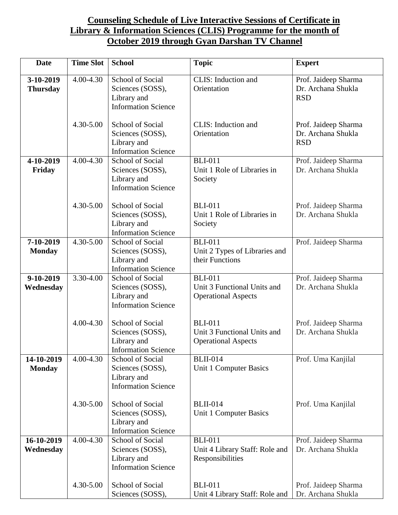## **Counseling Schedule of Live Interactive Sessions of Certificate in Library & Information Sciences (CLIS) Programme for the month of October 2019 through Gyan Darshan TV Channel**

| <b>Date</b>                                                         | <b>Time Slot</b>                                                                                                                     | <b>School</b>                                                                            | <b>Topic</b>                                                                                           | <b>Expert</b>                                            |
|---------------------------------------------------------------------|--------------------------------------------------------------------------------------------------------------------------------------|------------------------------------------------------------------------------------------|--------------------------------------------------------------------------------------------------------|----------------------------------------------------------|
| 3-10-2019<br><b>Thursday</b>                                        | 4.00-4.30                                                                                                                            | School of Social<br>Sciences (SOSS),<br>Library and<br><b>Information Science</b>        | CLIS: Induction and<br>Orientation                                                                     | Prof. Jaideep Sharma<br>Dr. Archana Shukla<br><b>RSD</b> |
| $4.30 - 5.00$                                                       |                                                                                                                                      | School of Social<br>Sciences (SOSS),<br>Library and<br><b>Information Science</b>        | CLIS: Induction and<br>Orientation                                                                     | Prof. Jaideep Sharma<br>Dr. Archana Shukla<br><b>RSD</b> |
| 4-10-2019<br>Friday                                                 | 4.00-4.30                                                                                                                            | <b>School of Social</b><br>Sciences (SOSS),<br>Library and<br><b>Information Science</b> | <b>BLI-011</b><br>Prof. Jaideep Sharma<br>Dr. Archana Shukla<br>Unit 1 Role of Libraries in<br>Society |                                                          |
|                                                                     | $4.30 - 5.00$<br>School of Social<br><b>BLI-011</b><br>Sciences (SOSS),<br>Library and<br>Society<br><b>Information Science</b>      |                                                                                          | Unit 1 Role of Libraries in                                                                            | Prof. Jaideep Sharma<br>Dr. Archana Shukla               |
| 7-10-2019<br><b>Monday</b>                                          | 4.30-5.00                                                                                                                            | School of Social<br>Sciences (SOSS),<br>Library and<br><b>Information Science</b>        | <b>BLI-011</b><br>Unit 2 Types of Libraries and<br>their Functions                                     | Prof. Jaideep Sharma                                     |
| $9-10-2019$<br>Wednesday                                            | 3.30-4.00                                                                                                                            | School of Social<br>Sciences (SOSS),<br>Library and<br><b>Information Science</b>        | <b>BLI-011</b><br>Unit 3 Functional Units and<br><b>Operational Aspects</b>                            | Prof. Jaideep Sharma<br>Dr. Archana Shukla               |
|                                                                     | 4.00-4.30                                                                                                                            | School of Social<br>Sciences (SOSS),<br>Library and<br><b>Information Science</b>        | <b>BLI-011</b><br>Unit 3 Functional Units and<br><b>Operational Aspects</b>                            | Prof. Jaideep Sharma<br>Dr. Archana Shukla               |
| 14-10-2019<br><b>Monday</b>                                         | 4.00-4.30<br>School of Social<br><b>BLII-014</b><br>Sciences (SOSS),<br>Library and<br><b>Information Science</b>                    |                                                                                          | Unit 1 Computer Basics                                                                                 | Prof. Uma Kanjilal                                       |
|                                                                     | 4.30-5.00                                                                                                                            | School of Social<br>Sciences (SOSS),<br>Library and<br><b>Information Science</b>        | <b>BLII-014</b><br>Unit 1 Computer Basics                                                              | Prof. Uma Kanjilal                                       |
| 16-10-2019<br>Wednesday                                             | School of Social<br>4.00-4.30<br><b>BLI-011</b><br>Sciences (SOSS),<br>Library and<br>Responsibilities<br><b>Information Science</b> |                                                                                          | Unit 4 Library Staff: Role and                                                                         | Prof. Jaideep Sharma<br>Dr. Archana Shukla               |
| 4.30-5.00<br>School of Social<br><b>BLI-011</b><br>Sciences (SOSS), |                                                                                                                                      | Unit 4 Library Staff: Role and                                                           | Prof. Jaideep Sharma<br>Dr. Archana Shukla                                                             |                                                          |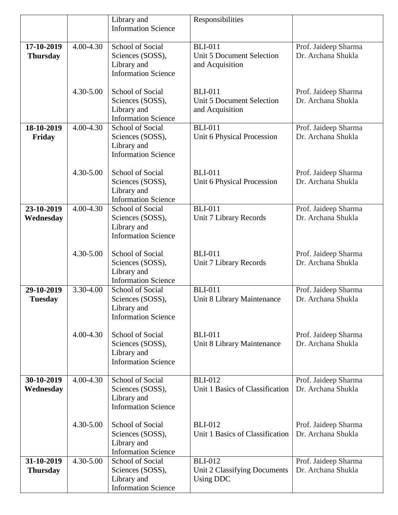|                                            |           | Library and                                                                       | Responsibilities                                                      |                                            |
|--------------------------------------------|-----------|-----------------------------------------------------------------------------------|-----------------------------------------------------------------------|--------------------------------------------|
|                                            |           | <b>Information Science</b>                                                        |                                                                       |                                            |
| 17-10-2019<br>4.00-4.30<br><b>Thursday</b> |           | School of Social<br>Sciences (SOSS),<br>Library and<br><b>Information Science</b> | <b>BLI-011</b><br><b>Unit 5 Document Selection</b><br>and Acquisition | Prof. Jaideep Sharma<br>Dr. Archana Shukla |
|                                            | 4.30-5.00 | School of Social<br>Sciences (SOSS),<br>Library and<br><b>Information Science</b> | <b>BLI-011</b><br>Unit 5 Document Selection<br>and Acquisition        | Prof. Jaideep Sharma<br>Dr. Archana Shukla |
| 18-10-2019<br>Friday                       | 4.00-4.30 | School of Social<br>Sciences (SOSS),<br>Library and<br><b>Information Science</b> | <b>BLI-011</b><br>Unit 6 Physical Procession                          | Prof. Jaideep Sharma<br>Dr. Archana Shukla |
|                                            | 4.30-5.00 | School of Social<br>Sciences (SOSS),<br>Library and<br><b>Information Science</b> | <b>BLI-011</b><br>Unit 6 Physical Procession                          | Prof. Jaideep Sharma<br>Dr. Archana Shukla |
| 23-10-2019<br>Wednesday                    | 4.00-4.30 | School of Social<br>Sciences (SOSS),<br>Library and<br><b>Information Science</b> | <b>BLI-011</b><br>Unit 7 Library Records                              | Prof. Jaideep Sharma<br>Dr. Archana Shukla |
|                                            | 4.30-5.00 | School of Social<br>Sciences (SOSS),<br>Library and<br><b>Information Science</b> | <b>BLI-011</b><br>Unit 7 Library Records                              | Prof. Jaideep Sharma<br>Dr. Archana Shukla |
| 29-10-2019<br><b>Tuesday</b>               | 3.30-4.00 | School of Social<br>Sciences (SOSS),<br>Library and<br><b>Information Science</b> | <b>BLI-011</b><br>Unit 8 Library Maintenance                          | Prof. Jaideep Sharma<br>Dr. Archana Shukla |
|                                            | 4.00-4.30 | School of Social<br>Sciences (SOSS),<br>Library and<br><b>Information Science</b> | <b>BLI-011</b><br>Unit 8 Library Maintenance                          | Prof. Jaideep Sharma<br>Dr. Archana Shukla |
| 30-10-2019<br>Wednesday                    | 4.00-4.30 | School of Social<br>Sciences (SOSS),<br>Library and<br><b>Information Science</b> | <b>BLI-012</b><br>Unit 1 Basics of Classification                     | Prof. Jaideep Sharma<br>Dr. Archana Shukla |
|                                            | 4.30-5.00 | School of Social<br>Sciences (SOSS),<br>Library and<br><b>Information Science</b> | <b>BLI-012</b><br>Unit 1 Basics of Classification                     | Prof. Jaideep Sharma<br>Dr. Archana Shukla |
| 31-10-2019<br><b>Thursday</b>              | 4.30-5.00 | School of Social<br>Sciences (SOSS),<br>Library and<br><b>Information Science</b> | <b>BLI-012</b><br>Unit 2 Classifying Documents<br>Using DDC           | Prof. Jaideep Sharma<br>Dr. Archana Shukla |